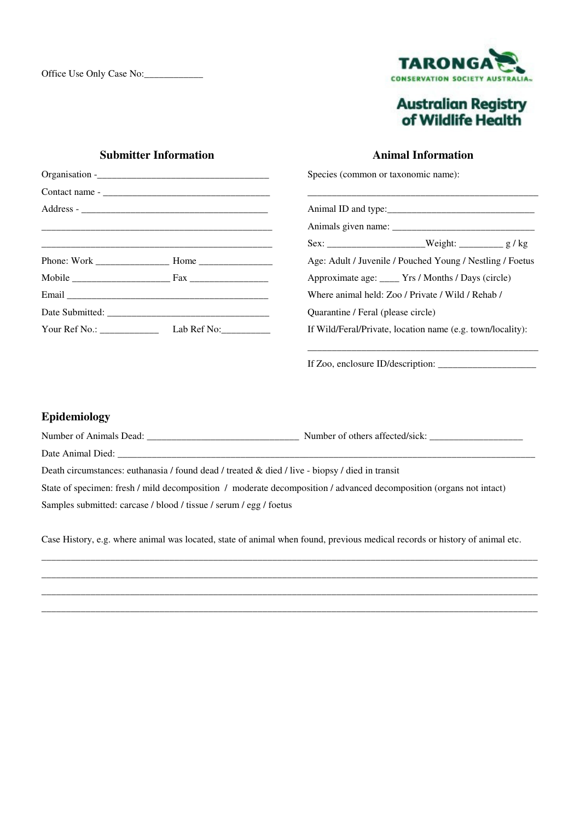

## **Australian Registry<br>of Wildlife Health**

## **Submitter Information**

## **Animal Information**

Species (common or taxonomic name):

| Sex: ___________________________Weight: ______________ g / kg |  |  |
|---------------------------------------------------------------|--|--|
| Age: Adult / Juvenile / Pouched Young / Nestling / Foetus     |  |  |
| Approximate age: _____ Yrs / Months / Days (circle)           |  |  |
| Where animal held: Zoo / Private / Wild / Rehab /             |  |  |
| Quarantine / Feral (please circle)                            |  |  |
| If Wild/Feral/Private, location name (e.g. town/locality):    |  |  |

\_\_\_\_\_\_\_\_\_\_\_\_\_\_\_\_\_\_\_\_\_\_\_\_\_\_\_\_\_\_\_\_\_\_\_\_\_\_\_\_\_\_\_\_\_\_\_

If Zoo, enclosure ID/description: \_\_\_\_\_\_\_\_\_\_\_\_\_\_\_\_\_\_\_\_

## **Epidemiology**

| Number of Animals Dead:                                                                                             |  |  |
|---------------------------------------------------------------------------------------------------------------------|--|--|
| Date Animal Died:                                                                                                   |  |  |
| Death circumstances: euthanasia / found dead / treated & died / live - biopsy / died in transit                     |  |  |
| State of specimen: fresh / mild decomposition / moderate decomposition / advanced decomposition (organs not intact) |  |  |
| Samples submitted: carcase / blood / tissue / serum / egg / foetus                                                  |  |  |

Case History, e.g. where animal was located, state of animal when found, previous medical records or history of animal etc.

\_\_\_\_\_\_\_\_\_\_\_\_\_\_\_\_\_\_\_\_\_\_\_\_\_\_\_\_\_\_\_\_\_\_\_\_\_\_\_\_\_\_\_\_\_\_\_\_\_\_\_\_\_\_\_\_\_\_\_\_\_\_\_\_\_\_\_\_\_\_\_\_\_\_\_\_\_\_\_\_\_\_\_\_\_\_\_\_\_\_\_\_\_\_\_\_\_\_\_\_\_ \_\_\_\_\_\_\_\_\_\_\_\_\_\_\_\_\_\_\_\_\_\_\_\_\_\_\_\_\_\_\_\_\_\_\_\_\_\_\_\_\_\_\_\_\_\_\_\_\_\_\_\_\_\_\_\_\_\_\_\_\_\_\_\_\_\_\_\_\_\_\_\_\_\_\_\_\_\_\_\_\_\_\_\_\_\_\_\_\_\_\_\_\_\_\_\_\_\_\_\_\_ \_\_\_\_\_\_\_\_\_\_\_\_\_\_\_\_\_\_\_\_\_\_\_\_\_\_\_\_\_\_\_\_\_\_\_\_\_\_\_\_\_\_\_\_\_\_\_\_\_\_\_\_\_\_\_\_\_\_\_\_\_\_\_\_\_\_\_\_\_\_\_\_\_\_\_\_\_\_\_\_\_\_\_\_\_\_\_\_\_\_\_\_\_\_\_\_\_\_\_\_\_ \_\_\_\_\_\_\_\_\_\_\_\_\_\_\_\_\_\_\_\_\_\_\_\_\_\_\_\_\_\_\_\_\_\_\_\_\_\_\_\_\_\_\_\_\_\_\_\_\_\_\_\_\_\_\_\_\_\_\_\_\_\_\_\_\_\_\_\_\_\_\_\_\_\_\_\_\_\_\_\_\_\_\_\_\_\_\_\_\_\_\_\_\_\_\_\_\_\_\_\_\_